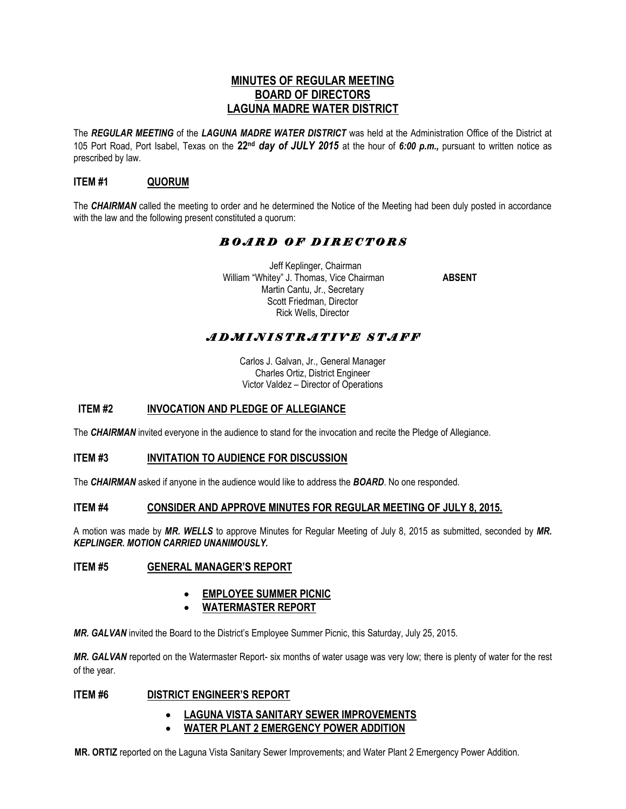## **MINUTES OF REGULAR MEETING BOARD OF DIRECTORS LAGUNA MADRE WATER DISTRICT**

The *REGULAR MEETING* of the *LAGUNA MADRE WATER DISTRICT* was held at the Administration Office of the District at 105 Port Road, Port Isabel, Texas on the **22nd** *day of JULY 2015* at the hour of *6:00 p.m.,* pursuant to written notice as prescribed by law.

## **ITEM #1 QUORUM**

The *CHAIRMAN* called the meeting to order and he determined the Notice of the Meeting had been duly posted in accordance with the law and the following present constituted a quorum:

# *B O A R D O F D I R E C T O R S*

 Jeff Keplinger, Chairman William "Whitey" J. Thomas, Vice Chairman **ABSENT** Martin Cantu, Jr., Secretary Scott Friedman, Director Rick Wells, Director

# *A D M I N I S T R A T I V E S T A F F*

Carlos J. Galvan, Jr., General Manager Charles Ortiz, District Engineer Victor Valdez – Director of Operations

## **ITEM #2 INVOCATION AND PLEDGE OF ALLEGIANCE**

The *CHAIRMAN* invited everyone in the audience to stand for the invocation and recite the Pledge of Allegiance.

### **ITEM #3 INVITATION TO AUDIENCE FOR DISCUSSION**

The *CHAIRMAN* asked if anyone in the audience would like to address the *BOARD*. No one responded.

#### **ITEM #4 CONSIDER AND APPROVE MINUTES FOR REGULAR MEETING OF JULY 8, 2015.**

A motion was made by *MR. WELLS* to approve Minutes for Regular Meeting of July 8, 2015 as submitted, seconded by *MR. KEPLINGER. MOTION CARRIED UNANIMOUSLY.* 

### **ITEM #5 GENERAL MANAGER'S REPORT**

### **EMPLOYEE SUMMER PICNIC**

**WATERMASTER REPORT**

*MR. GALVAN* invited the Board to the District's Employee Summer Picnic, this Saturday, July 25, 2015.

*MR. GALVAN* reported on the Watermaster Report- six months of water usage was very low; there is plenty of water for the rest of the year.

### **ITEM #6 DISTRICT ENGINEER'S REPORT**

### **LAGUNA VISTA SANITARY SEWER IMPROVEMENTS**

**WATER PLANT 2 EMERGENCY POWER ADDITION** 

**MR. ORTIZ** reported on the Laguna Vista Sanitary Sewer Improvements; and Water Plant 2 Emergency Power Addition.